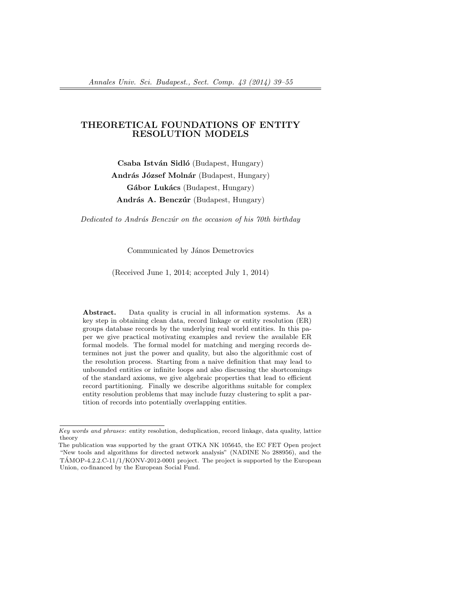# THEORETICAL FOUNDATIONS OF ENTITY RESOLUTION MODELS

Csaba István Sidló (Budapest, Hungary)

András József Molnár (Budapest, Hungary)

Gábor Lukács (Budapest, Hungary)

András A. Benczúr (Budapest, Hungary)

Dedicated to András Benczúr on the occasion of his 70th birthday

Communicated by János Demetrovics

(Received June 1, 2014; accepted July 1, 2014)

Abstract. Data quality is crucial in all information systems. As a key step in obtaining clean data, record linkage or entity resolution (ER) groups database records by the underlying real world entities. In this paper we give practical motivating examples and review the available ER formal models. The formal model for matching and merging records determines not just the power and quality, but also the algorithmic cost of the resolution process. Starting from a naive definition that may lead to unbounded entities or infinite loops and also discussing the shortcomings of the standard axioms, we give algebraic properties that lead to efficient record partitioning. Finally we describe algorithms suitable for complex entity resolution problems that may include fuzzy clustering to split a partition of records into potentially overlapping entities.

Key words and phrases: entity resolution, deduplication, record linkage, data quality, lattice theory

The publication was supported by the grant OTKA NK 105645, the EC FET Open project "New tools and algorithms for directed network analysis" (NADINE No 288956), and the  $TAMOP-4.2.2.C-11/1/KONV-2012-0001$  project. The project is supported by the European Union, co-financed by the European Social Fund.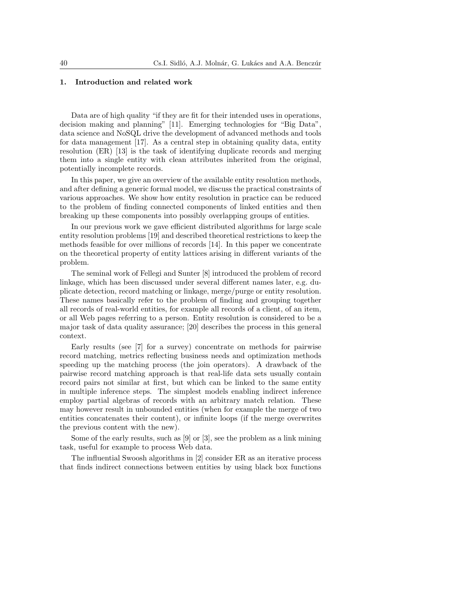# 1. Introduction and related work

Data are of high quality "if they are fit for their intended uses in operations, decision making and planning" [11]. Emerging technologies for "Big Data", data science and NoSQL drive the development of advanced methods and tools for data management [17]. As a central step in obtaining quality data, entity resolution (ER) [13] is the task of identifying duplicate records and merging them into a single entity with clean attributes inherited from the original, potentially incomplete records.

In this paper, we give an overview of the available entity resolution methods, and after defining a generic formal model, we discuss the practical constraints of various approaches. We show how entity resolution in practice can be reduced to the problem of finding connected components of linked entities and then breaking up these components into possibly overlapping groups of entities.

In our previous work we gave efficient distributed algorithms for large scale entity resolution problems [19] and described theoretical restrictions to keep the methods feasible for over millions of records [14]. In this paper we concentrate on the theoretical property of entity lattices arising in different variants of the problem.

The seminal work of Fellegi and Sunter [8] introduced the problem of record linkage, which has been discussed under several different names later, e.g. duplicate detection, record matching or linkage, merge/purge or entity resolution. These names basically refer to the problem of finding and grouping together all records of real-world entities, for example all records of a client, of an item, or all Web pages referring to a person. Entity resolution is considered to be a major task of data quality assurance; [20] describes the process in this general context.

Early results (see [7] for a survey) concentrate on methods for pairwise record matching, metrics reflecting business needs and optimization methods speeding up the matching process (the join operators). A drawback of the pairwise record matching approach is that real-life data sets usually contain record pairs not similar at first, but which can be linked to the same entity in multiple inference steps. The simplest models enabling indirect inference employ partial algebras of records with an arbitrary match relation. These may however result in unbounded entities (when for example the merge of two entities concatenates their content), or infinite loops (if the merge overwrites the previous content with the new).

Some of the early results, such as [9] or [3], see the problem as a link mining task, useful for example to process Web data.

The influential Swoosh algorithms in [2] consider ER as an iterative process that finds indirect connections between entities by using black box functions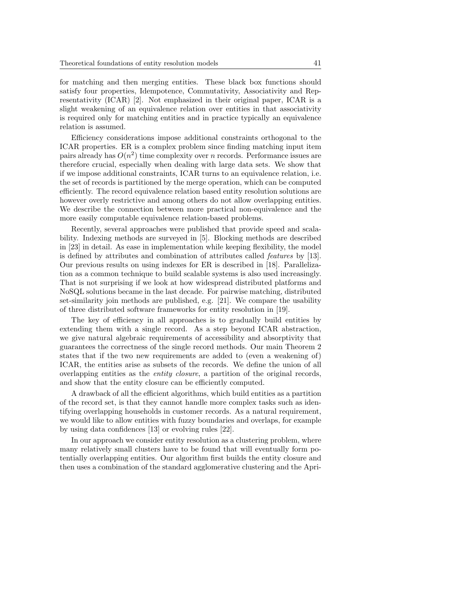for matching and then merging entities. These black box functions should satisfy four properties, Idempotence, Commutativity, Associativity and Representativity (ICAR) [2]. Not emphasized in their original paper, ICAR is a slight weakening of an equivalence relation over entities in that associativity is required only for matching entities and in practice typically an equivalence relation is assumed.

Efficiency considerations impose additional constraints orthogonal to the ICAR properties. ER is a complex problem since finding matching input item pairs already has  $O(n^2)$  time complexity over n records. Performance issues are therefore crucial, especially when dealing with large data sets. We show that if we impose additional constraints, ICAR turns to an equivalence relation, i.e. the set of records is partitioned by the merge operation, which can be computed efficiently. The record equivalence relation based entity resolution solutions are however overly restrictive and among others do not allow overlapping entities. We describe the connection between more practical non-equivalence and the more easily computable equivalence relation-based problems.

Recently, several approaches were published that provide speed and scalability. Indexing methods are surveyed in [5]. Blocking methods are described in [23] in detail. As ease in implementation while keeping flexibility, the model is defined by attributes and combination of attributes called features by [13]. Our previous results on using indexes for ER is described in [18]. Parallelization as a common technique to build scalable systems is also used increasingly. That is not surprising if we look at how widespread distributed platforms and NoSQL solutions became in the last decade. For pairwise matching, distributed set-similarity join methods are published, e.g. [21]. We compare the usability of three distributed software frameworks for entity resolution in [19].

The key of efficiency in all approaches is to gradually build entities by extending them with a single record. As a step beyond ICAR abstraction, we give natural algebraic requirements of accessibility and absorptivity that guarantees the correctness of the single record methods. Our main Theorem 2 states that if the two new requirements are added to (even a weakening of) ICAR, the entities arise as subsets of the records. We define the union of all overlapping entities as the entity closure, a partition of the original records, and show that the entity closure can be efficiently computed.

A drawback of all the efficient algorithms, which build entities as a partition of the record set, is that they cannot handle more complex tasks such as identifying overlapping households in customer records. As a natural requirement, we would like to allow entities with fuzzy boundaries and overlaps, for example by using data confidences [13] or evolving rules [22].

In our approach we consider entity resolution as a clustering problem, where many relatively small clusters have to be found that will eventually form potentially overlapping entities. Our algorithm first builds the entity closure and then uses a combination of the standard agglomerative clustering and the Apri-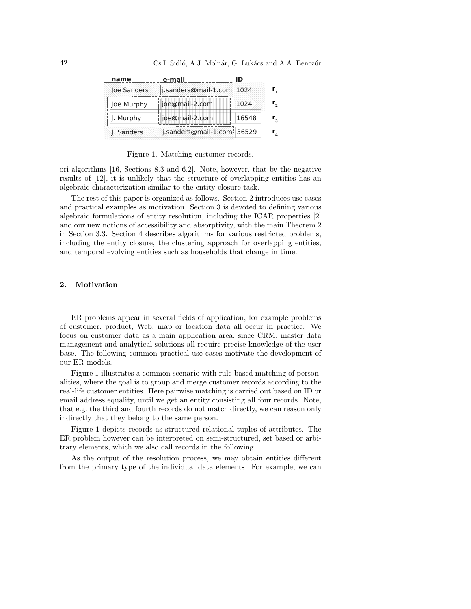| name        | e-mail                     |       |  |
|-------------|----------------------------|-------|--|
| Joe Sanders | j.sanders@mail-1.com 1024  |       |  |
| Joe Murphy  | joe@mail-2.com             | 1024  |  |
| J. Murphy   | joe@mail-2.com             | 16548 |  |
| J. Sanders  | j.sanders@mail-1.com 36529 |       |  |

Figure 1. Matching customer records.

ori algorithms [16, Sections 8.3 and 6.2]. Note, however, that by the negative results of [12], it is unlikely that the structure of overlapping entities has an algebraic characterization similar to the entity closure task.

The rest of this paper is organized as follows. Section 2 introduces use cases and practical examples as motivation. Section 3 is devoted to defining various algebraic formulations of entity resolution, including the ICAR properties [2] and our new notions of accessibility and absorptivity, with the main Theorem 2 in Section 3.3. Section 4 describes algorithms for various restricted problems, including the entity closure, the clustering approach for overlapping entities, and temporal evolving entities such as households that change in time.

# 2. Motivation

ER problems appear in several fields of application, for example problems of customer, product, Web, map or location data all occur in practice. We focus on customer data as a main application area, since CRM, master data management and analytical solutions all require precise knowledge of the user base. The following common practical use cases motivate the development of our ER models.

Figure 1 illustrates a common scenario with rule-based matching of personalities, where the goal is to group and merge customer records according to the real-life customer entities. Here pairwise matching is carried out based on ID or email address equality, until we get an entity consisting all four records. Note, that e.g. the third and fourth records do not match directly, we can reason only indirectly that they belong to the same person.

Figure 1 depicts records as structured relational tuples of attributes. The ER problem however can be interpreted on semi-structured, set based or arbitrary elements, which we also call records in the following.

As the output of the resolution process, we may obtain entities different from the primary type of the individual data elements. For example, we can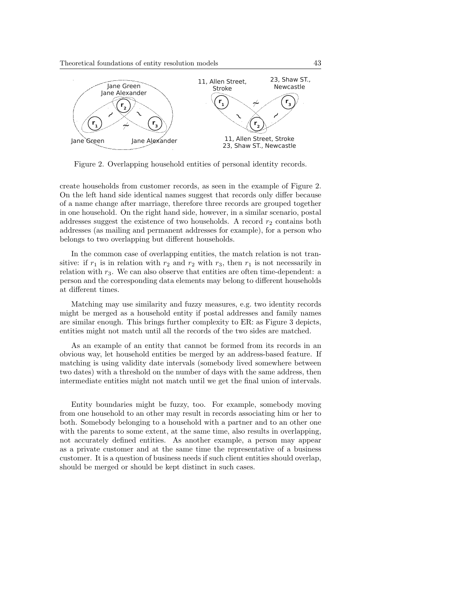

Figure 2. Overlapping household entities of personal identity records.

create households from customer records, as seen in the example of Figure 2. On the left hand side identical names suggest that records only differ because of a name change after marriage, therefore three records are grouped together in one household. On the right hand side, however, in a similar scenario, postal addresses suggest the existence of two households. A record  $r_2$  contains both addresses (as mailing and permanent addresses for example), for a person who belongs to two overlapping but different households.

In the common case of overlapping entities, the match relation is not transitive: if  $r_1$  is in relation with  $r_2$  and  $r_2$  with  $r_3$ , then  $r_1$  is not necessarily in relation with  $r_3$ . We can also observe that entities are often time-dependent: a person and the corresponding data elements may belong to different households at different times.

Matching may use similarity and fuzzy measures, e.g. two identity records might be merged as a household entity if postal addresses and family names are similar enough. This brings further complexity to ER: as Figure 3 depicts, entities might not match until all the records of the two sides are matched.

As an example of an entity that cannot be formed from its records in an obvious way, let household entities be merged by an address-based feature. If matching is using validity date intervals (somebody lived somewhere between two dates) with a threshold on the number of days with the same address, then intermediate entities might not match until we get the final union of intervals.

Entity boundaries might be fuzzy, too. For example, somebody moving from one household to an other may result in records associating him or her to both. Somebody belonging to a household with a partner and to an other one with the parents to some extent, at the same time, also results in overlapping, not accurately defined entities. As another example, a person may appear as a private customer and at the same time the representative of a business customer. It is a question of business needs if such client entities should overlap, should be merged or should be kept distinct in such cases.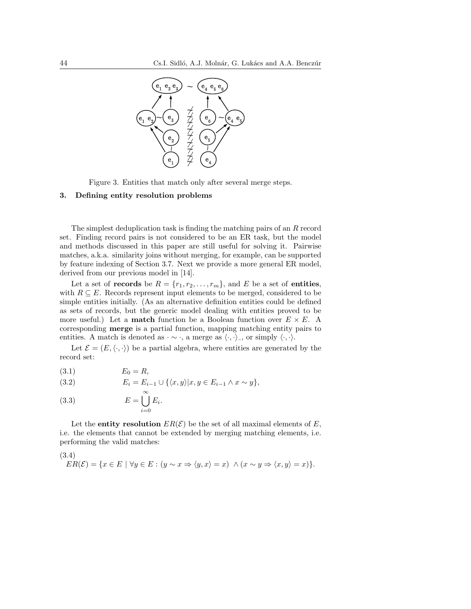

Figure 3. Entities that match only after several merge steps.

# 3. Defining entity resolution problems

The simplest deduplication task is finding the matching pairs of an R record set. Finding record pairs is not considered to be an ER task, but the model and methods discussed in this paper are still useful for solving it. Pairwise matches, a.k.a. similarity joins without merging, for example, can be supported by feature indexing of Section 3.7. Next we provide a more general ER model, derived from our previous model in [14].

Let a set of **records** be  $R = \{r_1, r_2, \ldots, r_m\}$ , and E be a set of **entities**, with  $R \subseteq E$ . Records represent input elements to be merged, considered to be simple entities initially. (As an alternative definition entities could be defined as sets of records, but the generic model dealing with entities proved to be more useful.) Let a **match** function be a Boolean function over  $E \times E$ . A corresponding merge is a partial function, mapping matching entity pairs to entities. A match is denoted as  $\cdot \sim \cdot$ , a merge as  $\langle \cdot, \cdot \rangle_{\sim}$ , or simply  $\langle \cdot, \cdot \rangle$ .

Let  $\mathcal{E} = (E, \langle \cdot, \cdot \rangle)$  be a partial algebra, where entities are generated by the record set:

| (3.1) | $E_0 = R$ , |  |
|-------|-------------|--|
|       |             |  |

(3.2) 
$$
E_i = E_{i-1} \cup \{ \langle x, y \rangle | x, y \in E_{i-1} \land x \sim y \},
$$

(3.3) 
$$
E = \bigcup_{i=0}^{\infty} E_i.
$$

Let the **entity resolution**  $ER(\mathcal{E})$  be the set of all maximal elements of E, i.e. the elements that cannot be extended by merging matching elements, i.e. performing the valid matches:

(3.4)  
\n
$$
ER(\mathcal{E}) = \{x \in E \mid \forall y \in E : (y \sim x \Rightarrow \langle y, x \rangle = x) \land (x \sim y \Rightarrow \langle x, y \rangle = x)\}.
$$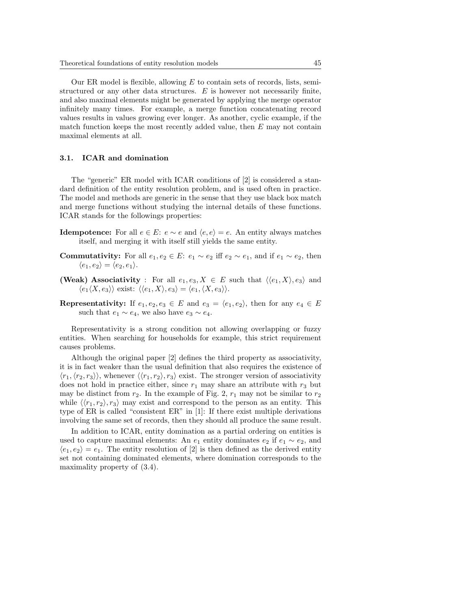Our ER model is flexible, allowing  $E$  to contain sets of records, lists, semistructured or any other data structures.  $E$  is however not necessarily finite, and also maximal elements might be generated by applying the merge operator infinitely many times. For example, a merge function concatenating record values results in values growing ever longer. As another, cyclic example, if the match function keeps the most recently added value, then  $E$  may not contain maximal elements at all.

## 3.1. ICAR and domination

The "generic" ER model with ICAR conditions of [2] is considered a standard definition of the entity resolution problem, and is used often in practice. The model and methods are generic in the sense that they use black box match and merge functions without studying the internal details of these functions. ICAR stands for the followings properties:

- **Idempotence:** For all  $e \in E$ :  $e \sim e$  and  $\langle e, e \rangle = e$ . An entity always matches itself, and merging it with itself still yields the same entity.
- **Commutativity:** For all  $e_1, e_2 \in E$ :  $e_1 \sim e_2$  iff  $e_2 \sim e_1$ , and if  $e_1 \sim e_2$ , then  $\langle e_1, e_2 \rangle = \langle e_2, e_1 \rangle.$
- (Weak) Associativity : For all  $e_1, e_3, X \in E$  such that  $\langle \langle e_1, X \rangle, e_3 \rangle$  and  $\langle e_1 \langle X, e_3 \rangle \rangle$  exist:  $\langle \langle e_1, X \rangle, e_3 \rangle = \langle e_1, \langle X, e_3 \rangle \rangle.$
- Representativity: If  $e_1, e_2, e_3 \in E$  and  $e_3 = \langle e_1, e_2 \rangle$ , then for any  $e_4 \in E$ such that  $e_1 \sim e_4$ , we also have  $e_3 \sim e_4$ .

Representativity is a strong condition not allowing overlapping or fuzzy entities. When searching for households for example, this strict requirement causes problems.

Although the original paper [2] defines the third property as associativity, it is in fact weaker than the usual definition that also requires the existence of  $\langle r_1,\langle r_2, r_3\rangle\rangle$ , whenever  $\langle\langle r_1, r_2\rangle, r_3\rangle$  exist. The stronger version of associativity does not hold in practice either, since  $r_1$  may share an attribute with  $r_3$  but may be distinct from  $r_2$ . In the example of Fig. 2,  $r_1$  may not be similar to  $r_2$ while  $\langle \langle r_1, r_2 \rangle, r_3 \rangle$  may exist and correspond to the person as an entity. This type of ER is called "consistent ER" in [1]: If there exist multiple derivations involving the same set of records, then they should all produce the same result.

In addition to ICAR, entity domination as a partial ordering on entities is used to capture maximal elements: An  $e_1$  entity dominates  $e_2$  if  $e_1 \sim e_2$ , and  $\langle e_1, e_2 \rangle = e_1$ . The entity resolution of [2] is then defined as the derived entity set not containing dominated elements, where domination corresponds to the maximality property of (3.4).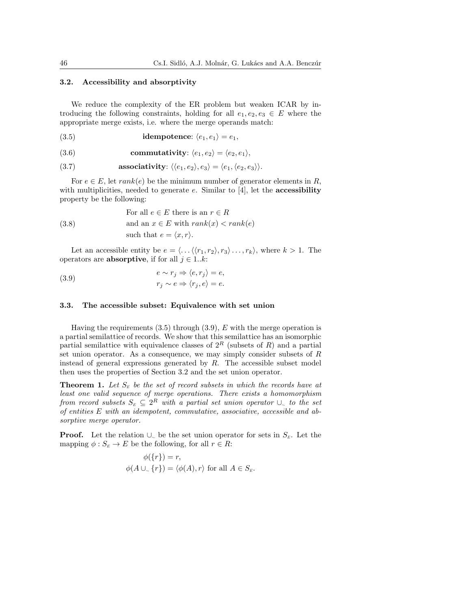## 3.2. Accessibility and absorptivity

We reduce the complexity of the ER problem but weaken ICAR by introducing the following constraints, holding for all  $e_1, e_2, e_3 \in E$  where the appropriate merge exists, i.e. where the merge operands match:

(3.5) **idempotence:** 
$$
\langle e_1, e_1 \rangle = e_1
$$
,

(3.6) commutativity: 
$$
\langle e_1, e_2 \rangle = \langle e_2, e_1 \rangle
$$
,

(3.7) **associativity**: 
$$
\langle \langle e_1, e_2 \rangle, e_3 \rangle = \langle e_1, \langle e_2, e_3 \rangle \rangle
$$
.

For  $e \in E$ , let  $rank(e)$  be the minimum number of generator elements in R, with multiplicities, needed to generate  $e$ . Similar to [4], let the **accessibility** property be the following:

(3.8) For all 
$$
e \in E
$$
 there is an  $r \in R$   
and an  $x \in E$  with  $rank(x) < rank(e)$   
such that  $e = \langle x, r \rangle$ .

Let an accessible entity be  $e = \langle \ldots \langle \langle r_1, r_2 \rangle, r_3 \rangle \ldots, r_k \rangle$ , where  $k > 1$ . The operators are **absorptive**, if for all  $j \in 1..k$ :

(3.9) 
$$
e \sim r_j \Rightarrow \langle e, r_j \rangle = e,
$$

$$
r_j \sim e \Rightarrow \langle r_j, e \rangle = e.
$$

### 3.3. The accessible subset: Equivalence with set union

Having the requirements  $(3.5)$  through  $(3.9)$ , E with the merge operation is a partial semilattice of records. We show that this semilattice has an isomorphic partial semilattice with equivalence classes of  $2^R$  (subsets of R) and a partial set union operator. As a consequence, we may simply consider subsets of  $R$ instead of general expressions generated by  $R$ . The accessible subset model then uses the properties of Section 3.2 and the set union operator.

**Theorem 1.** Let  $S<sub>E</sub>$  be the set of record subsets in which the records have at least one valid sequence of merge operations. There exists a homomorphism from record subsets  $S_{\scriptscriptstyle E} \subseteq 2^R$  with a partial set union operator  $\cup_{\sim}$  to the set of entities E with an idempotent, commutative, associative, accessible and absorptive merge operator.

**Proof.** Let the relation  $\cup_{\sim}$  be the set union operator for sets in  $S_E$ . Let the mapping  $\phi: S_E \to E$  be the following, for all  $r \in R$ :

$$
\phi({r}) = r,
$$
  

$$
\phi(A \cup_{\sim} {r}) = \langle \phi(A), r \rangle \text{ for all } A \in S_{\varepsilon}.
$$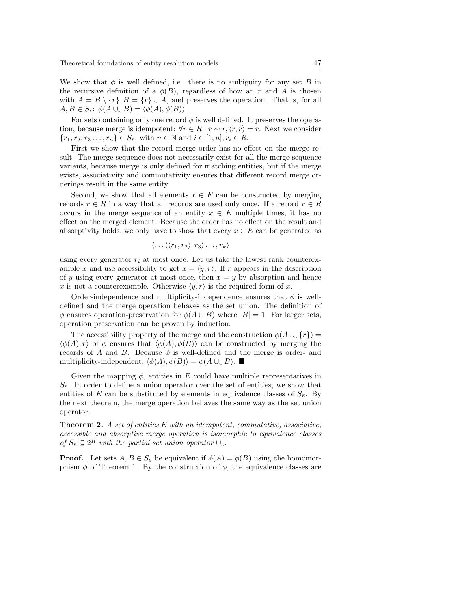We show that  $\phi$  is well defined, i.e. there is no ambiguity for any set B in the recursive definition of a  $\phi(B)$ , regardless of how an r and A is chosen with  $A = B \setminus \{r\}, B = \{r\} \cup A$ , and preserves the operation. That is, for all  $A, B \in S_{\kappa}: \phi(A \cup_{\sim} B) = \langle \phi(A), \phi(B) \rangle.$ 

For sets containing only one record  $\phi$  is well defined. It preserves the operation, because merge is idempotent:  $\forall r \in R : r \sim r, \langle r, r \rangle = r$ . Next we consider  ${r_1, r_2, r_3 \ldots, r_n} \in S_{\varepsilon}$ , with  $n \in \mathbb{N}$  and  $i \in [1, n], r_i \in R$ .

First we show that the record merge order has no effect on the merge result. The merge sequence does not necessarily exist for all the merge sequence variants, because merge is only defined for matching entities, but if the merge exists, associativity and commutativity ensures that different record merge orderings result in the same entity.

Second, we show that all elements  $x \in E$  can be constructed by merging records  $r \in R$  in a way that all records are used only once. If a record  $r \in R$ occurs in the merge sequence of an entity  $x \in E$  multiple times, it has no effect on the merged element. Because the order has no effect on the result and absorptivity holds, we only have to show that every  $x \in E$  can be generated as

$$
\langle \ldots \langle \langle r_1, r_2 \rangle, r_3 \rangle \ldots, r_k \rangle
$$

using every generator  $r_i$  at most once. Let us take the lowest rank counterexample x and use accessibility to get  $x = \langle y, r \rangle$ . If r appears in the description of y using every generator at most once, then  $x = y$  by absorption and hence x is not a counterexample. Otherwise  $\langle y, r \rangle$  is the required form of x.

Order-independence and multiplicity-independence ensures that  $\phi$  is welldefined and the merge operation behaves as the set union. The definition of  $\phi$  ensures operation-preservation for  $\phi(A \cup B)$  where  $|B| = 1$ . For larger sets, operation preservation can be proven by induction.

The accessibility property of the merge and the construction  $\phi(A \cup \{r\}) =$  $\langle \phi(A), r \rangle$  of  $\phi$  ensures that  $\langle \phi(A), \phi(B) \rangle$  can be constructed by merging the records of A and B. Because  $\phi$  is well-defined and the merge is order- and multiplicity-independent,  $\langle \phi(A), \phi(B) \rangle = \phi(A \cup \_B)$ .

Given the mapping  $\phi$ , entities in E could have multiple representatives in  $S<sub>E</sub>$ . In order to define a union operator over the set of entities, we show that entities of E can be substituted by elements in equivalence classes of  $S<sub>E</sub>$ . By the next theorem, the merge operation behaves the same way as the set union operator.

**Theorem 2.** A set of entities  $E$  with an idempotent, commutative, associative, accessible and absorptive merge operation is isomorphic to equivalence classes of  $S_E$  ⊆  $2^R$  with the partial set union operator ∪<sub>∼</sub>.

**Proof.** Let sets  $A, B \in S_{\kappa}$  be equivalent if  $\phi(A) = \phi(B)$  using the homomorphism  $\phi$  of Theorem 1. By the construction of  $\phi$ , the equivalence classes are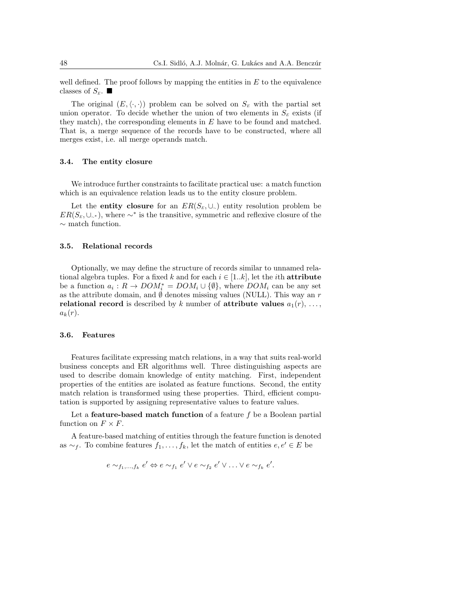well defined. The proof follows by mapping the entities in  $E$  to the equivalence classes of  $S_{\scriptscriptstyle E}$ .

The original  $(E, \langle \cdot, \cdot \rangle)$  problem can be solved on  $S_E$  with the partial set union operator. To decide whether the union of two elements in  $S<sub>E</sub>$  exists (if they match), the corresponding elements in  $E$  have to be found and matched. That is, a merge sequence of the records have to be constructed, where all merges exist, i.e. all merge operands match.

#### 3.4. The entity closure

We introduce further constraints to facilitate practical use: a match function which is an equivalence relation leads us to the entity closure problem.

Let the entity closure for an  $ER(S_E, \cup_{\sim})$  entity resolution problem be  $ER(S_E, \cup_{\sim^*})$ , where  $\sim^*$  is the transitive, symmetric and reflexive closure of the  $∼$  match function.

# 3.5. Relational records

Optionally, we may define the structure of records similar to unnamed relational algebra tuples. For a fixed k and for each  $i \in [1..k]$ , let the *i*th **attribute** be a function  $a_i: R \to DOM_i^* = DOM_i \cup {\emptyset}$ , where  $DOM_i$  can be any set as the attribute domain, and  $\emptyset$  denotes missing values (NULL). This way an r relational record is described by k number of attribute values  $a_1(r), \ldots,$  $a_k(r)$ .

#### 3.6. Features

Features facilitate expressing match relations, in a way that suits real-world business concepts and ER algorithms well. Three distinguishing aspects are used to describe domain knowledge of entity matching. First, independent properties of the entities are isolated as feature functions. Second, the entity match relation is transformed using these properties. Third, efficient computation is supported by assigning representative values to feature values.

Let a **feature-based match function** of a feature  $f$  be a Boolean partial function on  $F \times F$ .

A feature-based matching of entities through the feature function is denoted as  $\sim_f$ . To combine features  $f_1, \ldots, f_k$ , let the match of entities  $e, e' \in E$  be

$$
e \sim_{f_1,\dots,f_k} e' \Leftrightarrow e \sim_{f_1} e' \vee e \sim_{f_2} e' \vee \dots \vee e \sim_{f_k} e'.
$$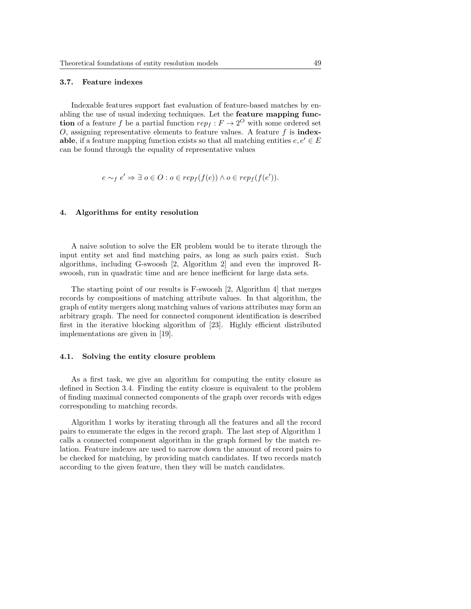#### 3.7. Feature indexes

Indexable features support fast evaluation of feature-based matches by enabling the use of usual indexing techniques. Let the feature mapping func**tion** of a feature f be a partial function  $rep_f: F \to 2^O$  with some ordered set O, assigning representative elements to feature values. A feature  $f$  is **index**able, if a feature mapping function exists so that all matching entities  $e, e' \in E$ can be found through the equality of representative values

$$
e \sim_f e' \Rightarrow \exists o \in O : o \in rep_f(f(e)) \land o \in rep_f(f(e')).
$$

### 4. Algorithms for entity resolution

A naive solution to solve the ER problem would be to iterate through the input entity set and find matching pairs, as long as such pairs exist. Such algorithms, including G-swoosh [2, Algorithm 2] and even the improved Rswoosh, run in quadratic time and are hence inefficient for large data sets.

The starting point of our results is F-swoosh [2, Algorithm 4] that merges records by compositions of matching attribute values. In that algorithm, the graph of entity mergers along matching values of various attributes may form an arbitrary graph. The need for connected component identification is described first in the iterative blocking algorithm of [23]. Highly efficient distributed implementations are given in [19].

#### 4.1. Solving the entity closure problem

As a first task, we give an algorithm for computing the entity closure as defined in Section 3.4. Finding the entity closure is equivalent to the problem of finding maximal connected components of the graph over records with edges corresponding to matching records.

Algorithm 1 works by iterating through all the features and all the record pairs to enumerate the edges in the record graph. The last step of Algorithm 1 calls a connected component algorithm in the graph formed by the match relation. Feature indexes are used to narrow down the amount of record pairs to be checked for matching, by providing match candidates. If two records match according to the given feature, then they will be match candidates.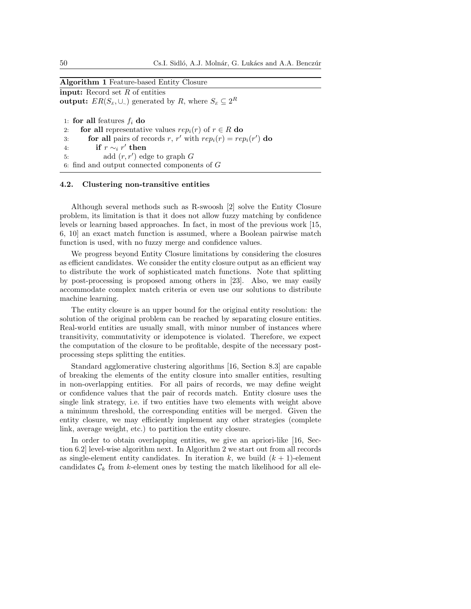# Algorithm 1 Feature-based Entity Closure

input: Record set  $R$  of entities output:  $ER(S_E, \cup_{\sim})$  generated by R, where  $S_E \subseteq 2^R$ 

1: for all features  $f_i$  do 2: for all representative values  $rep_i(r)$  of  $r \in R$  do 3: **for all** pairs of records r, r' with  $rep_i(r) = rep_i(r')$  do 4: if  $r \sim_i r'$  then 5: add  $(r, r')$  edge to graph  $G$ 6: find and output connected components of  $G$ 

### 4.2. Clustering non-transitive entities

Although several methods such as R-swoosh [2] solve the Entity Closure problem, its limitation is that it does not allow fuzzy matching by confidence levels or learning based approaches. In fact, in most of the previous work [15, 6, 10] an exact match function is assumed, where a Boolean pairwise match function is used, with no fuzzy merge and confidence values.

We progress beyond Entity Closure limitations by considering the closures as efficient candidates. We consider the entity closure output as an efficient way to distribute the work of sophisticated match functions. Note that splitting by post-processing is proposed among others in [23]. Also, we may easily accommodate complex match criteria or even use our solutions to distribute machine learning.

The entity closure is an upper bound for the original entity resolution: the solution of the original problem can be reached by separating closure entities. Real-world entities are usually small, with minor number of instances where transitivity, commutativity or idempotence is violated. Therefore, we expect the computation of the closure to be profitable, despite of the necessary postprocessing steps splitting the entities.

Standard agglomerative clustering algorithms [16, Section 8.3] are capable of breaking the elements of the entity closure into smaller entities, resulting in non-overlapping entities. For all pairs of records, we may define weight or confidence values that the pair of records match. Entity closure uses the single link strategy, i.e. if two entities have two elements with weight above a minimum threshold, the corresponding entities will be merged. Given the entity closure, we may efficiently implement any other strategies (complete link, average weight, etc.) to partition the entity closure.

In order to obtain overlapping entities, we give an apriori-like [16, Section 6.2] level-wise algorithm next. In Algorithm 2 we start out from all records as single-element entity candidates. In iteration k, we build  $(k + 1)$ -element candidates  $\mathcal{C}_k$  from k-element ones by testing the match likelihood for all ele-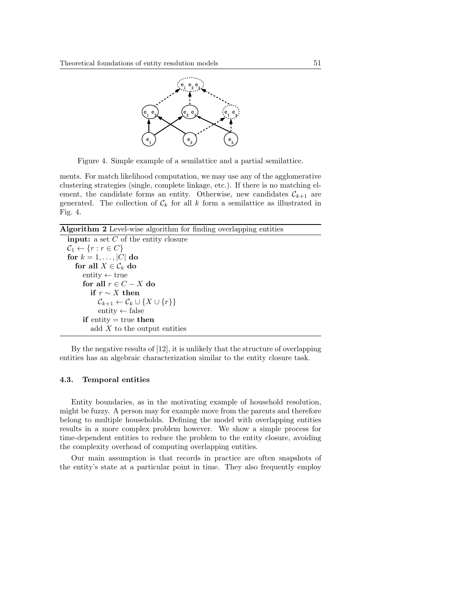

Figure 4. Simple example of a semilattice and a partial semilattice.

ments. For match likelihood computation, we may use any of the agglomerative clustering strategies (single, complete linkage, etc.). If there is no matching element, the candidate forms an entity. Otherwise, new candidates  $\mathcal{C}_{k+1}$  are generated. The collection of  $\mathcal{C}_k$  for all k form a semilattice as illustrated in Fig. 4.

Algorithm 2 Level-wise algorithm for finding overlapping entities

```
input: a set C of the entity closure
\mathcal{C}_1 \leftarrow \{r : r \in C\}for k = 1, \ldots, |C| do
   for all X \in \mathcal{C}_k do
      entity \leftarrow true
      for all r \in C - X do
         if r \sim X then
             \mathcal{C}_{k+1} \leftarrow \mathcal{C}_k \cup \{X \cup \{r\}\}entity \leftarrow false
      if entity = true then
          add X to the output entities
```
By the negative results of [12], it is unlikely that the structure of overlapping entities has an algebraic characterization similar to the entity closure task.

# 4.3. Temporal entities

Entity boundaries, as in the motivating example of household resolution, might be fuzzy. A person may for example move from the parents and therefore belong to multiple households. Defining the model with overlapping entities results in a more complex problem however. We show a simple process for time-dependent entities to reduce the problem to the entity closure, avoiding the complexity overhead of computing overlapping entities.

Our main assumption is that records in practice are often snapshots of the entity's state at a particular point in time. They also frequently employ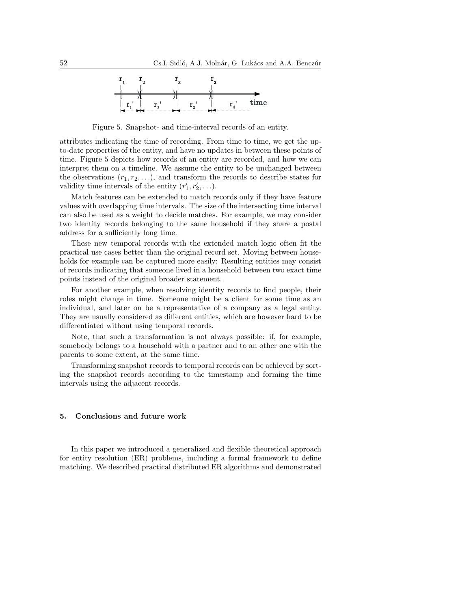

Figure 5. Snapshot- and time-interval records of an entity.

attributes indicating the time of recording. From time to time, we get the upto-date properties of the entity, and have no updates in between these points of time. Figure 5 depicts how records of an entity are recorded, and how we can interpret them on a timeline. We assume the entity to be unchanged between the observations  $(r_1, r_2, \ldots)$ , and transform the records to describe states for validity time intervals of the entity  $(r'_1, r'_2, \ldots)$ .

Match features can be extended to match records only if they have feature values with overlapping time intervals. The size of the intersecting time interval can also be used as a weight to decide matches. For example, we may consider two identity records belonging to the same household if they share a postal address for a sufficiently long time.

These new temporal records with the extended match logic often fit the practical use cases better than the original record set. Moving between households for example can be captured more easily: Resulting entities may consist of records indicating that someone lived in a household between two exact time points instead of the original broader statement.

For another example, when resolving identity records to find people, their roles might change in time. Someone might be a client for some time as an individual, and later on be a representative of a company as a legal entity. They are usually considered as different entities, which are however hard to be differentiated without using temporal records.

Note, that such a transformation is not always possible: if, for example, somebody belongs to a household with a partner and to an other one with the parents to some extent, at the same time.

Transforming snapshot records to temporal records can be achieved by sorting the snapshot records according to the timestamp and forming the time intervals using the adjacent records.

## 5. Conclusions and future work

In this paper we introduced a generalized and flexible theoretical approach for entity resolution (ER) problems, including a formal framework to define matching. We described practical distributed ER algorithms and demonstrated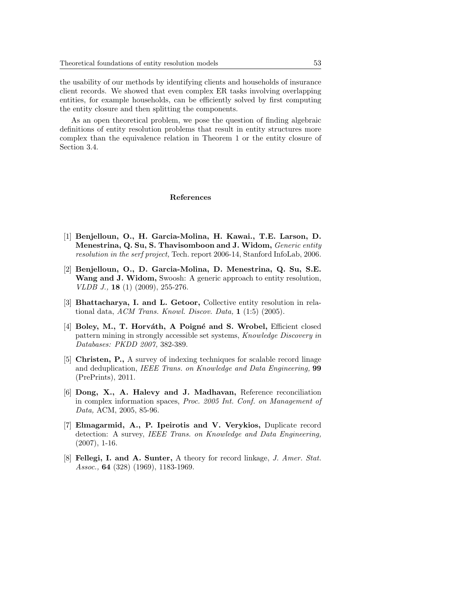the usability of our methods by identifying clients and households of insurance client records. We showed that even complex ER tasks involving overlapping entities, for example households, can be efficiently solved by first computing the entity closure and then splitting the components.

As an open theoretical problem, we pose the question of finding algebraic definitions of entity resolution problems that result in entity structures more complex than the equivalence relation in Theorem 1 or the entity closure of Section 3.4.

## References

- [1] Benjelloun, O., H. Garcia-Molina, H. Kawai., T.E. Larson, D. Menestrina, Q. Su, S. Thavisomboon and J. Widom, Generic entity resolution in the serf project, Tech. report 2006-14, Stanford InfoLab, 2006.
- [2] Benjelloun, O., D. Garcia-Molina, D. Menestrina, Q. Su, S.E. Wang and J. Widom, Swoosh: A generic approach to entity resolution, VLDB J., 18 (1) (2009), 255-276.
- [3] **Bhattacharya, I. and L. Getoor,** Collective entity resolution in relational data, ACM Trans. Knowl. Discov. Data, 1 (1:5) (2005).
- [4] Boley, M., T. Horváth, A Poigné and S. Wrobel, Efficient closed pattern mining in strongly accessible set systems, Knowledge Discovery in Databases: PKDD 2007, 382-389.
- [5] Christen, P., A survey of indexing techniques for scalable record linage and deduplication, IEEE Trans. on Knowledge and Data Engineering, 99 (PrePrints), 2011.
- [6] Dong, X., A. Halevy and J. Madhavan, Reference reconciliation in complex information spaces, Proc. 2005 Int. Conf. on Management of Data, ACM, 2005, 85-96.
- [7] Elmagarmid, A., P. Ipeirotis and V. Verykios, Duplicate record detection: A survey, IEEE Trans. on Knowledge and Data Engineering, (2007), 1-16.
- [8] **Fellegi, I. and A. Sunter,** A theory for record linkage, J. Amer. Stat. Assoc., **64** (328) (1969), 1183-1969.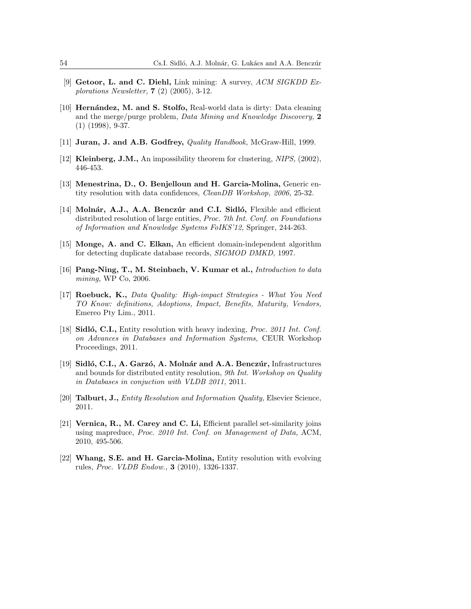- [9] Getoor, L. and C. Diehl, Link mining: A survey, ACM SIGKDD Explorations Newsletter, 7 (2) (2005), 3-12.
- [10] **Hernández, M. and S. Stolfo, Real-world data is dirty: Data cleaning** and the merge/purge problem, Data Mining and Knowledge Discovery, 2 (1) (1998), 9-37.
- [11] Juran, J. and A.B. Godfrey, Quality Handbook, McGraw-Hill, 1999.
- [12] Kleinberg, J.M., An impossibility theorem for clustering, NIPS, (2002), 446-453.
- [13] Menestrina, D., O. Benjelloun and H. Garcia-Molina, Generic entity resolution with data confidences, CleanDB Workshop, 2006, 25-32.
- [14] Molnár, A.J., A.A. Benczúr and C.I. Sidló, Flexible and efficient distributed resolution of large entities, *Proc. 7th Int. Conf. on Foundations* of Information and Knowledge Systems FoIKS'12, Springer, 244-263.
- [15] Monge, A. and C. Elkan, An efficient domain-independent algorithm for detecting duplicate database records, SIGMOD DMKD, 1997.
- [16] Pang-Ning, T., M. Steinbach, V. Kumar et al., *Introduction to data* mining, WP Co, 2006.
- [17] Roebuck, K., Data Quality: High-impact Strategies What You Need TO Know: definitions, Adoptions, Impact, Benefits, Maturity, Vendors, Emereo Pty Lim., 2011.
- [18] Sidló, C.I., Entity resolution with heavy indexing, Proc. 2011 Int. Conf. on Advances in Databases and Information Systems, CEUR Workshop Proceedings, 2011.
- [19] Sidló, C.I., A. Garzó, A. Molnár and A.A. Benczúr, Infrastructures and bounds for distributed entity resolution, 9th Int. Workshop on Quality in Databases in conjuction with VLDB 2011, 2011.
- [20] Talburt, J., Entity Resolution and Information Quality, Elsevier Science, 2011.
- [21] Vernica, R., M. Carey and C. Li, Efficient parallel set-similarity joins using mapreduce, Proc. 2010 Int. Conf. on Management of Data, ACM, 2010, 495-506.
- [22] Whang, S.E. and H. Garcia-Molina, Entity resolution with evolving rules, Proc. VLDB Endow., 3 (2010), 1326-1337.